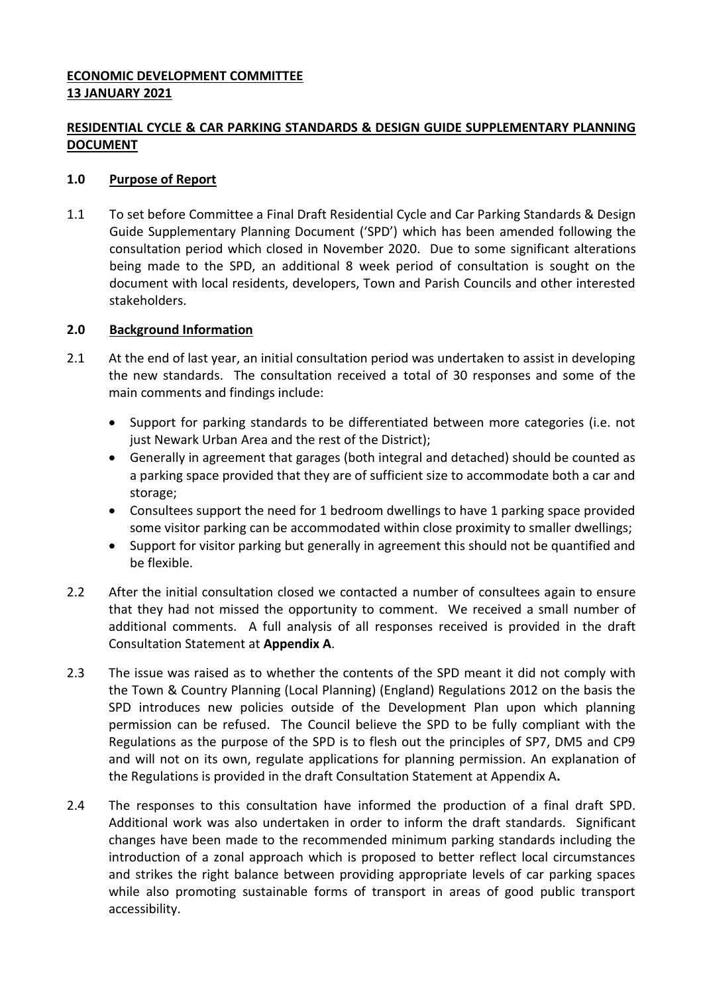# **ECONOMIC DEVELOPMENT COMMITTEE 13 JANUARY 2021**

# **RESIDENTIAL CYCLE & CAR PARKING STANDARDS & DESIGN GUIDE SUPPLEMENTARY PLANNING DOCUMENT**

### **1.0 Purpose of Report**

1.1 To set before Committee a Final Draft Residential Cycle and Car Parking Standards & Design Guide Supplementary Planning Document ('SPD') which has been amended following the consultation period which closed in November 2020. Due to some significant alterations being made to the SPD, an additional 8 week period of consultation is sought on the document with local residents, developers, Town and Parish Councils and other interested stakeholders.

### **2.0 Background Information**

- 2.1 At the end of last year, an initial consultation period was undertaken to assist in developing the new standards. The consultation received a total of 30 responses and some of the main comments and findings include:
	- Support for parking standards to be differentiated between more categories (i.e. not just Newark Urban Area and the rest of the District);
	- Generally in agreement that garages (both integral and detached) should be counted as a parking space provided that they are of sufficient size to accommodate both a car and storage;
	- Consultees support the need for 1 bedroom dwellings to have 1 parking space provided some visitor parking can be accommodated within close proximity to smaller dwellings;
	- Support for visitor parking but generally in agreement this should not be quantified and be flexible.
- 2.2 After the initial consultation closed we contacted a number of consultees again to ensure that they had not missed the opportunity to comment. We received a small number of additional comments. A full analysis of all responses received is provided in the draft Consultation Statement at **Appendix A**.
- 2.3 The issue was raised as to whether the contents of the SPD meant it did not comply with the Town & Country Planning (Local Planning) (England) Regulations 2012 on the basis the SPD introduces new policies outside of the Development Plan upon which planning permission can be refused. The Council believe the SPD to be fully compliant with the Regulations as the purpose of the SPD is to flesh out the principles of SP7, DM5 and CP9 and will not on its own, regulate applications for planning permission. An explanation of the Regulations is provided in the draft Consultation Statement at Appendix A**.**
- 2.4 The responses to this consultation have informed the production of a final draft SPD. Additional work was also undertaken in order to inform the draft standards. Significant changes have been made to the recommended minimum parking standards including the introduction of a zonal approach which is proposed to better reflect local circumstances and strikes the right balance between providing appropriate levels of car parking spaces while also promoting sustainable forms of transport in areas of good public transport accessibility.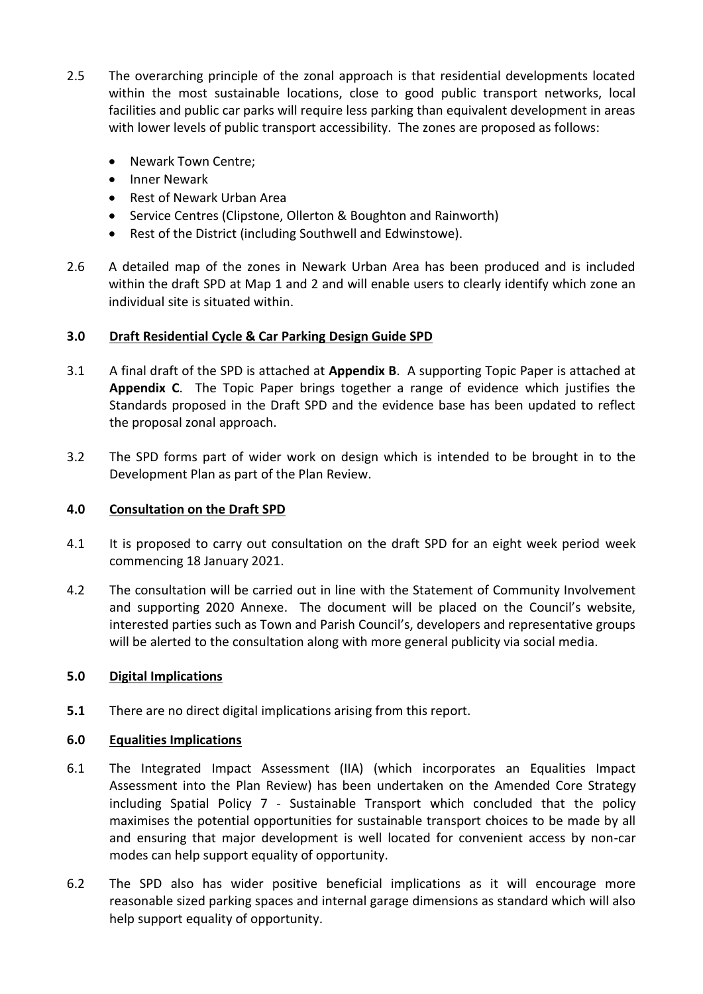- 2.5 The overarching principle of the zonal approach is that residential developments located within the most sustainable locations, close to good public transport networks, local facilities and public car parks will require less parking than equivalent development in areas with lower levels of public transport accessibility. The zones are proposed as follows:
	- Newark Town Centre;
	- Inner Newark
	- Rest of Newark Urban Area
	- Service Centres (Clipstone, Ollerton & Boughton and Rainworth)
	- Rest of the District (including Southwell and Edwinstowe).
- 2.6 A detailed map of the zones in Newark Urban Area has been produced and is included within the draft SPD at Map 1 and 2 and will enable users to clearly identify which zone an individual site is situated within.

### **3.0 Draft Residential Cycle & Car Parking Design Guide SPD**

- 3.1 A final draft of the SPD is attached at **Appendix B**. A supporting Topic Paper is attached at **Appendix C**. The Topic Paper brings together a range of evidence which justifies the Standards proposed in the Draft SPD and the evidence base has been updated to reflect the proposal zonal approach.
- 3.2 The SPD forms part of wider work on design which is intended to be brought in to the Development Plan as part of the Plan Review.

#### **4.0 Consultation on the Draft SPD**

- 4.1 It is proposed to carry out consultation on the draft SPD for an eight week period week commencing 18 January 2021.
- 4.2 The consultation will be carried out in line with the Statement of Community Involvement and supporting 2020 Annexe. The document will be placed on the Council's website, interested parties such as Town and Parish Council's, developers and representative groups will be alerted to the consultation along with more general publicity via social media.

#### **5.0 Digital Implications**

**5.1** There are no direct digital implications arising from this report.

#### **6.0 Equalities Implications**

- 6.1 The Integrated Impact Assessment (IIA) (which incorporates an Equalities Impact Assessment into the Plan Review) has been undertaken on the Amended Core Strategy including Spatial Policy 7 - Sustainable Transport which concluded that the policy maximises the potential opportunities for sustainable transport choices to be made by all and ensuring that major development is well located for convenient access by non-car modes can help support equality of opportunity.
- 6.2 The SPD also has wider positive beneficial implications as it will encourage more reasonable sized parking spaces and internal garage dimensions as standard which will also help support equality of opportunity.